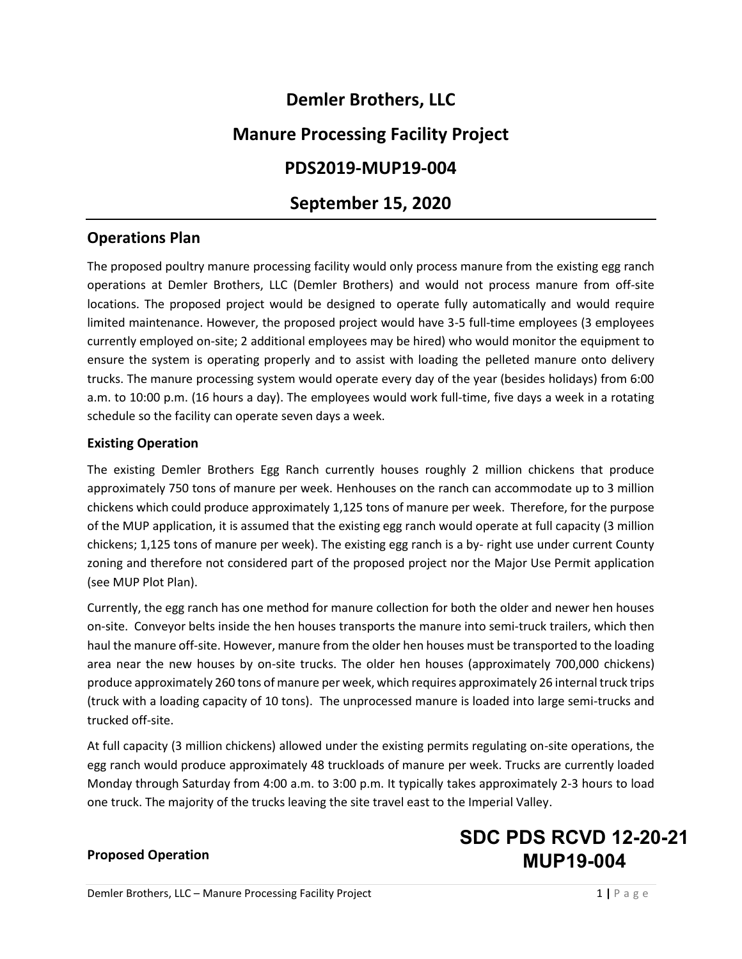# **Demler Brothers, LLC**

# **Manure Processing Facility Project**

# **PDS2019-MUP19-004**

# **September 15, 2020**

## **Operations Plan**

The proposed poultry manure processing facility would only process manure from the existing egg ranch operations at Demler Brothers, LLC (Demler Brothers) and would not process manure from off-site locations. The proposed project would be designed to operate fully automatically and would require limited maintenance. However, the proposed project would have 3-5 full-time employees (3 employees currently employed on-site; 2 additional employees may be hired) who would monitor the equipment to ensure the system is operating properly and to assist with loading the pelleted manure onto delivery trucks. The manure processing system would operate every day of the year (besides holidays) from 6:00 a.m. to 10:00 p.m. (16 hours a day). The employees would work full-time, five days a week in a rotating schedule so the facility can operate seven days a week.

#### **Existing Operation**

The existing Demler Brothers Egg Ranch currently houses roughly 2 million chickens that produce approximately 750 tons of manure per week. Henhouses on the ranch can accommodate up to 3 million chickens which could produce approximately 1,125 tons of manure per week. Therefore, for the purpose of the MUP application, it is assumed that the existing egg ranch would operate at full capacity (3 million chickens; 1,125 tons of manure per week). The existing egg ranch is a by- right use under current County zoning and therefore not considered part of the proposed project nor the Major Use Permit application (see MUP Plot Plan).

Currently, the egg ranch has one method for manure collection for both the older and newer hen houses on-site. Conveyor belts inside the hen houses transports the manure into semi-truck trailers, which then haul the manure off-site. However, manure from the older hen houses must be transported to the loading area near the new houses by on-site trucks. The older hen houses (approximately 700,000 chickens) produce approximately 260 tons of manure per week, which requires approximately 26 internal truck trips (truck with a loading capacity of 10 tons). The unprocessed manure is loaded into large semi-trucks and trucked off-site.

At full capacity (3 million chickens) allowed under the existing permits regulating on-site operations, the egg ranch would produce approximately 48 truckloads of manure per week. Trucks are currently loaded Monday through Saturday from 4:00 a.m. to 3:00 p.m. It typically takes approximately 2-3 hours to load one truck. The majority of the trucks leaving the site travel east to the Imperial Valley.

#### **Proposed Operation**

# **SDC PDS RCVD 12-20-21 MUP19-004**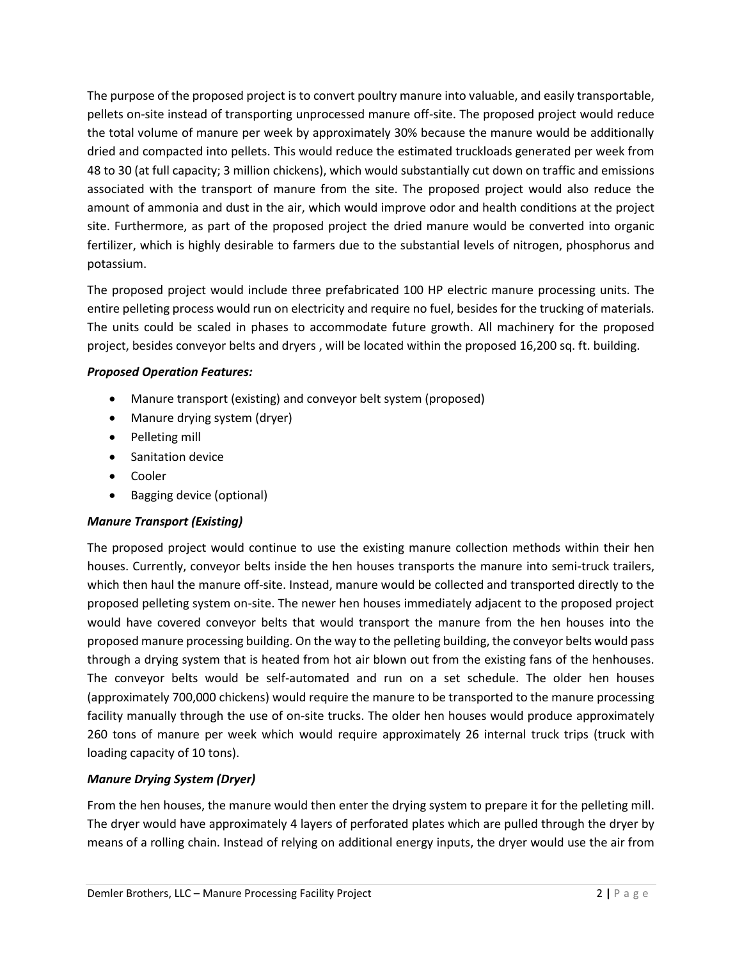The purpose of the proposed project is to convert poultry manure into valuable, and easily transportable, pellets on-site instead of transporting unprocessed manure off-site. The proposed project would reduce the total volume of manure per week by approximately 30% because the manure would be additionally dried and compacted into pellets. This would reduce the estimated truckloads generated per week from 48 to 30 (at full capacity; 3 million chickens), which would substantially cut down on traffic and emissions associated with the transport of manure from the site. The proposed project would also reduce the amount of ammonia and dust in the air, which would improve odor and health conditions at the project site. Furthermore, as part of the proposed project the dried manure would be converted into organic fertilizer, which is highly desirable to farmers due to the substantial levels of nitrogen, phosphorus and potassium.

The proposed project would include three prefabricated 100 HP electric manure processing units. The entire pelleting process would run on electricity and require no fuel, besides for the trucking of materials. The units could be scaled in phases to accommodate future growth. All machinery for the proposed project, besides conveyor belts and dryers , will be located within the proposed 16,200 sq. ft. building.

### *Proposed Operation Features:*

- Manure transport (existing) and conveyor belt system (proposed)
- Manure drying system (dryer)
- Pelleting mill
- Sanitation device
- Cooler
- Bagging device (optional)

## *Manure Transport (Existing)*

The proposed project would continue to use the existing manure collection methods within their hen houses. Currently, conveyor belts inside the hen houses transports the manure into semi-truck trailers, which then haul the manure off-site. Instead, manure would be collected and transported directly to the proposed pelleting system on-site. The newer hen houses immediately adjacent to the proposed project would have covered conveyor belts that would transport the manure from the hen houses into the proposed manure processing building. On the way to the pelleting building, the conveyor belts would pass through a drying system that is heated from hot air blown out from the existing fans of the henhouses. The conveyor belts would be self-automated and run on a set schedule. The older hen houses (approximately 700,000 chickens) would require the manure to be transported to the manure processing facility manually through the use of on-site trucks. The older hen houses would produce approximately 260 tons of manure per week which would require approximately 26 internal truck trips (truck with loading capacity of 10 tons).

## *Manure Drying System (Dryer)*

From the hen houses, the manure would then enter the drying system to prepare it for the pelleting mill. The dryer would have approximately 4 layers of perforated plates which are pulled through the dryer by means of a rolling chain. Instead of relying on additional energy inputs, the dryer would use the air from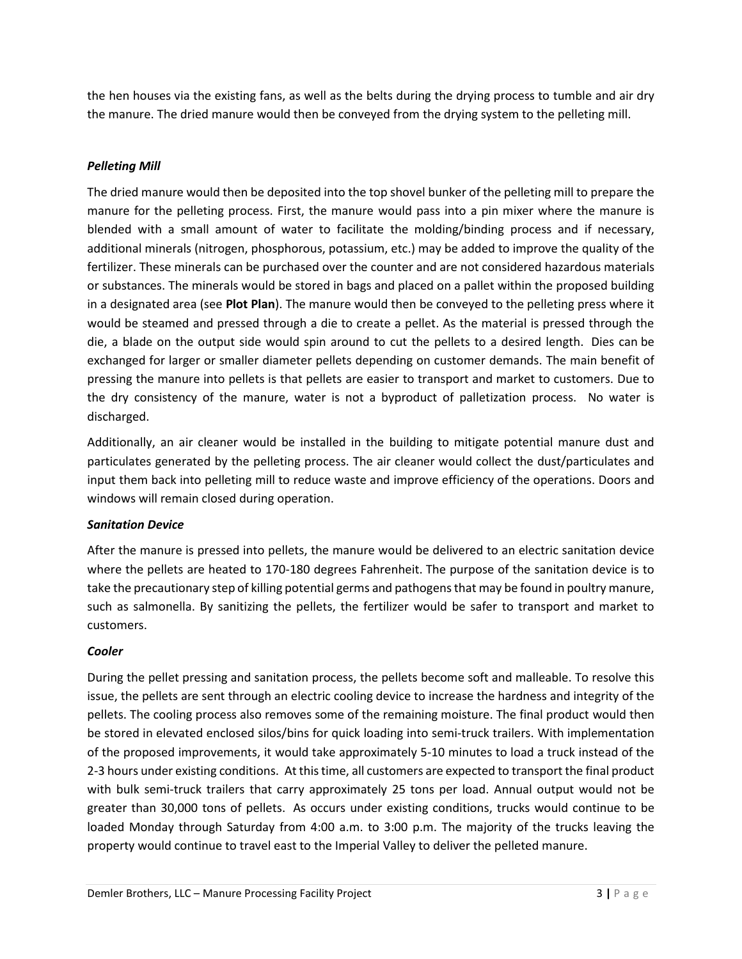the hen houses via the existing fans, as well as the belts during the drying process to tumble and air dry the manure. The dried manure would then be conveyed from the drying system to the pelleting mill.

#### *Pelleting Mill*

The dried manure would then be deposited into the top shovel bunker of the pelleting mill to prepare the manure for the pelleting process. First, the manure would pass into a pin mixer where the manure is blended with a small amount of water to facilitate the molding/binding process and if necessary, additional minerals (nitrogen, phosphorous, potassium, etc.) may be added to improve the quality of the fertilizer. These minerals can be purchased over the counter and are not considered hazardous materials or substances. The minerals would be stored in bags and placed on a pallet within the proposed building in a designated area (see **Plot Plan**). The manure would then be conveyed to the pelleting press where it would be steamed and pressed through a die to create a pellet. As the material is pressed through the die, a blade on the output side would spin around to cut the pellets to a desired length. Dies can be exchanged for larger or smaller diameter pellets depending on customer demands. The main benefit of pressing the manure into pellets is that pellets are easier to transport and market to customers. Due to the dry consistency of the manure, water is not a byproduct of palletization process. No water is discharged.

Additionally, an air cleaner would be installed in the building to mitigate potential manure dust and particulates generated by the pelleting process. The air cleaner would collect the dust/particulates and input them back into pelleting mill to reduce waste and improve efficiency of the operations. Doors and windows will remain closed during operation.

#### *Sanitation Device*

After the manure is pressed into pellets, the manure would be delivered to an electric sanitation device where the pellets are heated to 170-180 degrees Fahrenheit. The purpose of the sanitation device is to take the precautionary step of killing potential germs and pathogens that may be found in poultry manure, such as salmonella. By sanitizing the pellets, the fertilizer would be safer to transport and market to customers.

#### *Cooler*

During the pellet pressing and sanitation process, the pellets become soft and malleable. To resolve this issue, the pellets are sent through an electric cooling device to increase the hardness and integrity of the pellets. The cooling process also removes some of the remaining moisture. The final product would then be stored in elevated enclosed silos/bins for quick loading into semi-truck trailers. With implementation of the proposed improvements, it would take approximately 5-10 minutes to load a truck instead of the 2-3 hours under existing conditions. At this time, all customers are expected to transport the final product with bulk semi-truck trailers that carry approximately 25 tons per load. Annual output would not be greater than 30,000 tons of pellets. As occurs under existing conditions, trucks would continue to be loaded Monday through Saturday from 4:00 a.m. to 3:00 p.m. The majority of the trucks leaving the property would continue to travel east to the Imperial Valley to deliver the pelleted manure.